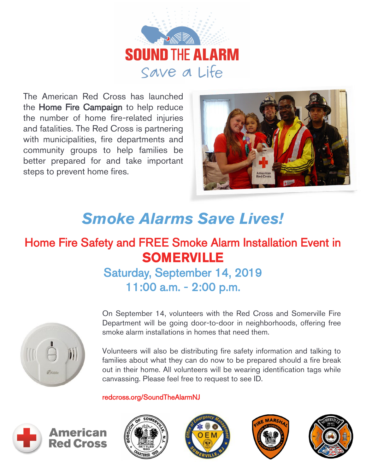

The American Red Cross has launched the Home Fire Campaign to help reduce the number of home fire-related injuries and fatalities. The Red Cross is partnering with municipalities, fire departments and community groups to help families be better prepared for and take important steps to prevent home fires.



## *Smoke Alarms Save Lives!*

## Home Fire Safety and FREE Smoke Alarm Installation Event in **SOMERVILLE**

### Saturday, September 14, 2019 11:00 a.m. - 2:00 p.m.



On September 14, volunteers with the Red Cross and Somerville Fire Department will be going door-to-door in neighborhoods, offering free smoke alarm installations in homes that need them.

Volunteers will also be distributing fire safety information and talking to families about what they can do now to be prepared should a fire break out in their home. All volunteers will be wearing identification tags while canvassing. Please feel free to request to see ID.

#### [redcross.org/SoundTheAlarmNJ](http://www.redcross.org/local/new-jersey/home-fire-safety)